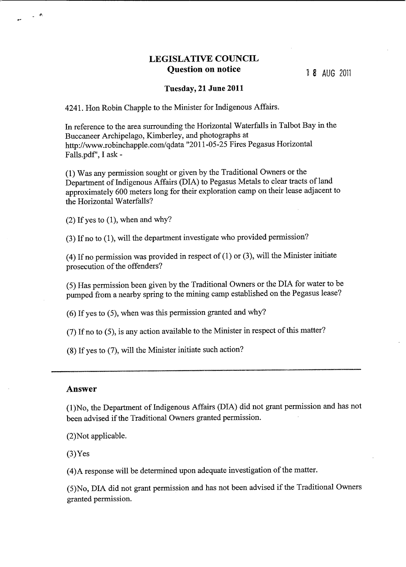## **LEGISLATIVE COUNCIL Question on notice**

## **Tuesday, 21 June 2011**

4241. Hon Robin Chapple to the Minister for Indigenous Affairs.

In reference to the area surrounding the Horizontal Waterfalls in Talbot Bay in the Buccaneer Archipelago, Kimberley, and photographs at <http://www.robinchapple.com/qdata> "2011-05-25 Fires Pegasus Horizontal Falls.pdf', I ask-

(1) Was any permission sought or given by the Traditional Owners or the Department of Indigenous Affairs (DIA) to Pegasus Metals to clear tracts of land approximately 600 meters long for their exploration camp on their lease adjacent to the Horizontal Waterfalls?

 $(2)$  If yes to  $(1)$ , when and why?

(3) If no to (1), will the department investigate who provided permission?

(4) If no permission was provided in respect of (1) or (3), will the Minister initiate prosecution of the offenders?

(5) Has permission been given by the Traditional Owners or the DIA for water to be pumped from a nearby spring to the mining camp established on the Pegasus lease?

(6) If yes to (5), when was this permission granted and why?

(7) Ifno to (5), is any action available to the Minister in respect of this matter?

(8) If yes to (7), will the Minister initiate such action?

## **Answer**

 $\mathbb{R}^n$ 

(l)No, the Department of Indigenous Affairs (DIA) did not grant permission and has not been advised if the Traditional Owners granted permission.

(2)Not applicable.

 $(3)$ Yes

(4)A response will be determined upon adequate investigation of the matter.

(5)No, DIA did not grant permission and has not been advised if the Traditional Owners granted permission.